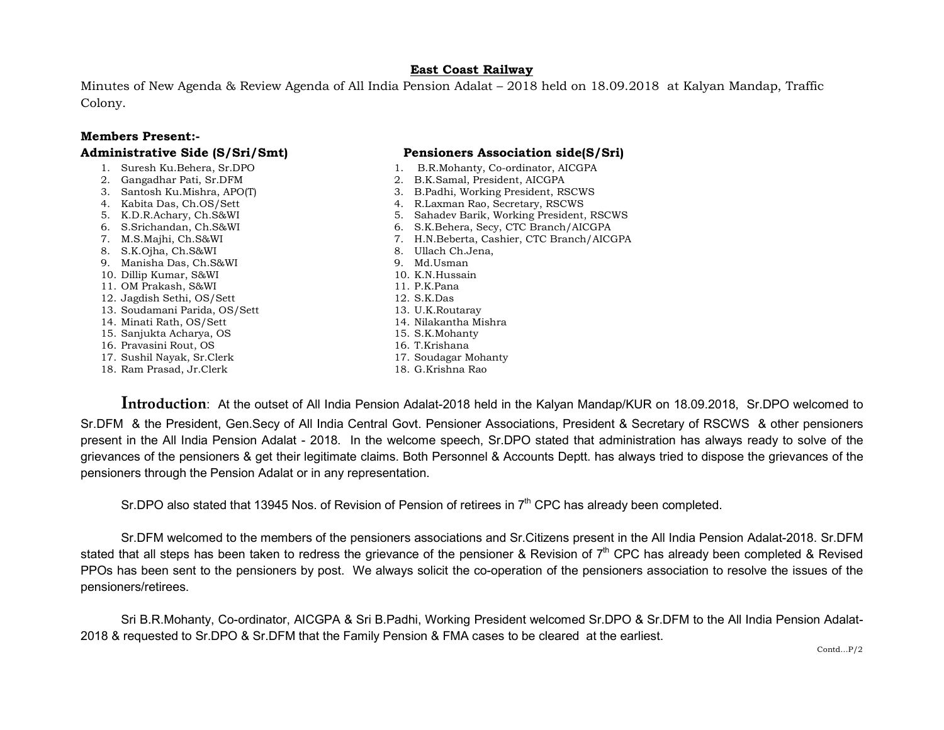## East Coast Railway

Minutes of New Agenda & Review Agenda of All India Pension Adalat – 2018 held on 18.09.2018 at Kalyan Mandap, Traffic Colony.

## Members Present:-

- 1. Suresh Ku.Behera, Sr.DPO
- 2. Gangadhar Pati, Sr.DFM
- 3. Santosh Ku.Mishra, APO(T)
- 4. Kabita Das, Ch.OS/Sett
- 5. K.D.R.Achary, Ch.S&WI
- 6. S.Srichandan, Ch.S&WI
- 7. M.S.Majhi, Ch.S&WI
- 8. S.K.Ojha, Ch.S&WI
- 9. Manisha Das, Ch.S&WI
- 10. Dillip Kumar, S&WI
- 11. OM Prakash, S&WI
- 12. Jagdish Sethi, OS/Sett
- 13. Soudamani Parida, OS/Sett
- 14. Minati Rath, OS/Sett
- 15. Sanjukta Acharya, OS
- 16. Pravasini Rout, OS
- 17. Sushil Nayak, Sr.Clerk
- 18. Ram Prasad, Jr.Clerk

## Administrative Side (S/Sri/Smt) Pensioners Association side(S/Sri)

- 1. B.R.Mohanty, Co-ordinator, AICGPA
- 2. B.K.Samal, President, AICGPA
- 3. B.Padhi, Working President, RSCWS
- 4. R.Laxman Rao, Secretary, RSCWS
- 5. Sahadev Barik, Working President, RSCWS
- 6. S.K.Behera, Secy, CTC Branch/AICGPA
- 7. H.N.Beberta, Cashier, CTC Branch/AICGPA
- 8. Ullach Ch.Jena,
- 9. Md.Usman
- 10. K.N.Hussain
- 11. P.K.Pana
- 12. S.K.Das
- 13. U.K.Routaray 14. Nilakantha Mishra
- 15. S.K.Mohanty
- 16. T.Krishana
- 17. Soudagar Mohanty
- 18. G.Krishna Rao

Introduction: At the outset of All India Pension Adalat-2018 held in the Kalyan Mandap/KUR on 18.09.2018, Sr.DPO welcomed to

Sr.DFM & the President, Gen.Secy of All India Central Govt. Pensioner Associations, President & Secretary of RSCWS & other pensioners present in the All India Pension Adalat - 2018. In the welcome speech, Sr.DPO stated that administration has always ready to solve of the grievances of the pensioners & get their legitimate claims. Both Personnel & Accounts Deptt. has always tried to dispose the grievances of the pensioners through the Pension Adalat or in any representation.

Sr.DPO also stated that 13945 Nos. of Revision of Pension of retirees in 7<sup>th</sup> CPC has already been completed.

Sr.DFM welcomed to the members of the pensioners associations and Sr.Citizens present in the All India Pension Adalat-2018. Sr.DFM stated that all steps has been taken to redress the grievance of the pensioner & Revision of 7<sup>th</sup> CPC has already been completed & Revised PPOs has been sent to the pensioners by post. We always solicit the co-operation of the pensioners association to resolve the issues of the pensioners/retirees.

Sri B.R.Mohanty, Co-ordinator, AICGPA & Sri B.Padhi, Working President welcomed Sr.DPO & Sr.DFM to the All India Pension Adalat-2018 & requested to Sr.DPO & Sr.DFM that the Family Pension & FMA cases to be cleared at the earliest.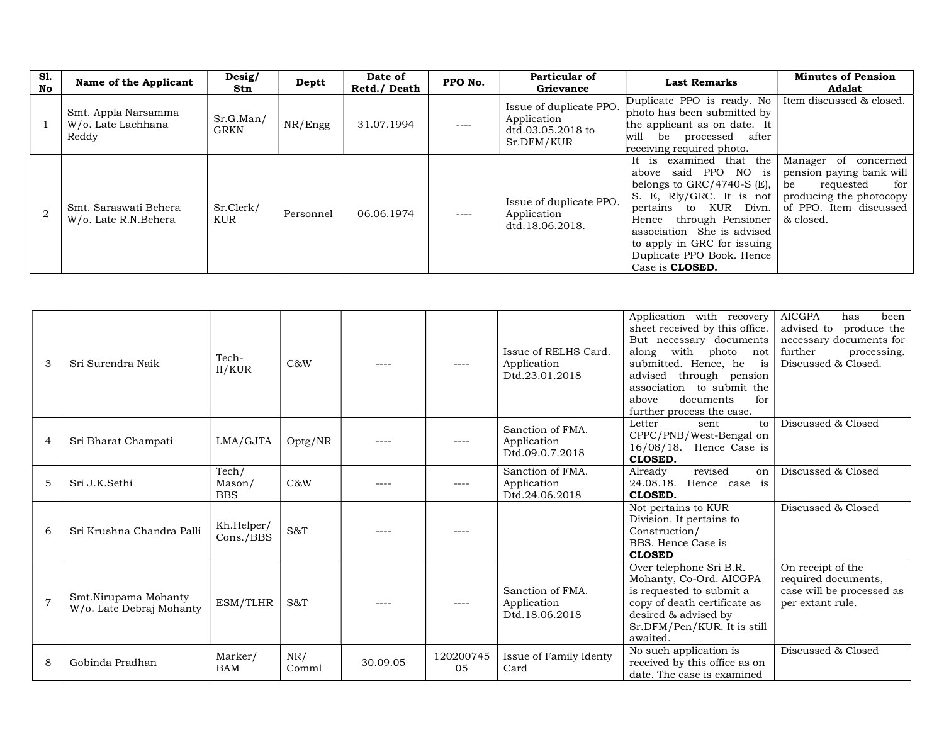| Sl.<br>No      | Name of the Applicant                              | Desig/<br>Stn            | Deptt     | Date of<br>Retd./ Death | PPO No.   | Particular of<br>Grievance                                                | <b>Last Remarks</b>                                                                                                                                                                                                                                                                 | <b>Minutes of Pension</b><br>Adalat                                                                                                          |
|----------------|----------------------------------------------------|--------------------------|-----------|-------------------------|-----------|---------------------------------------------------------------------------|-------------------------------------------------------------------------------------------------------------------------------------------------------------------------------------------------------------------------------------------------------------------------------------|----------------------------------------------------------------------------------------------------------------------------------------------|
|                | Smt. Appla Narsamma<br>W/o. Late Lachhana<br>Reddy | Sr.G.Man/<br><b>GRKN</b> | NR/Engg   | 31.07.1994              | $- - - -$ | Issue of duplicate PPO.<br>Application<br>dtd.03.05.2018 to<br>Sr.DFM/KUR | Duplicate PPO is ready. No<br>photo has been submitted by<br>the applicant as on date. It<br>will<br>be processed after<br>receiving required photo.                                                                                                                                | Item discussed & closed.                                                                                                                     |
| $\overline{2}$ | Smt. Saraswati Behera<br>W/o. Late R.N.Behera      | Sr.Clerk/<br><b>KUR</b>  | Personnel | 06.06.1974              | $---$     | Issue of duplicate PPO.<br>Application<br>dtd.18.06.2018.                 | It is examined that the<br>above said PPO NO is<br>belongs to $GRC/4740-S$ (E),<br>S. E. Rly/GRC. It is not<br>pertains to KUR Divn.<br>Hence through Pensioner<br>association She is advised<br>to apply in GRC for issuing<br>Duplicate PPO Book. Hence<br>Case is <b>CLOSED.</b> | Manager of concerned<br>pension paying bank will<br>be<br>requested<br>for<br>producing the photocopy<br>of PPO. Item discussed<br>& closed. |

| 3              | Sri Surendra Naik                                | Tech-<br>II/KUR               | C&W          |           | ----            | Issue of RELHS Card.<br>Application<br>Dtd.23.01.2018 | Application with recovery<br>sheet received by this office.<br>But necessary documents<br>with<br>along<br>photo<br>not  <br>submitted. Hence, he<br>is<br>advised through pension<br>association to submit the<br>documents<br>for<br>above<br>further process the case. | <b>AICGPA</b><br>has<br>been<br>advised to<br>produce the<br>necessary documents for<br>further<br>processing.<br>Discussed & Closed. |
|----------------|--------------------------------------------------|-------------------------------|--------------|-----------|-----------------|-------------------------------------------------------|---------------------------------------------------------------------------------------------------------------------------------------------------------------------------------------------------------------------------------------------------------------------------|---------------------------------------------------------------------------------------------------------------------------------------|
| $\overline{4}$ | Sri Bharat Champati                              | LMA/GJTA                      | Optg/NR      |           | $--- -$         | Sanction of FMA.<br>Application<br>Dtd.09.0.7.2018    | Letter<br>sent<br>to<br>CPPC/PNB/West-Bengal on<br>16/08/18.<br>Hence Case is<br>CLOSED.                                                                                                                                                                                  | Discussed & Closed                                                                                                                    |
| 5              | Sri J.K.Sethi                                    | Tech/<br>Mason/<br><b>BBS</b> | C&W          | $---$     | ----            | Sanction of FMA.<br>Application<br>Dtd.24.06.2018     | revised<br>Already<br>on<br>Hence case is<br>24.08.18.<br><b>CLOSED.</b>                                                                                                                                                                                                  | Discussed & Closed                                                                                                                    |
| 6              | Sri Krushna Chandra Palli                        | Kh.Helper/<br>Cons./BBS       | S&T          |           |                 |                                                       | Not pertains to KUR<br>Division. It pertains to<br>Construction/<br>BBS. Hence Case is<br><b>CLOSED</b>                                                                                                                                                                   | Discussed & Closed                                                                                                                    |
| $\overline{7}$ | Smt.Nirupama Mohanty<br>W/o. Late Debraj Mohanty | ESM/TLHR                      | S&T          | $- - - -$ | $--- -$         | Sanction of FMA.<br>Application<br>Dtd.18.06.2018     | Over telephone Sri B.R.<br>Mohanty, Co-Ord. AICGPA<br>is requested to submit a<br>copy of death certificate as<br>desired & advised by<br>Sr.DFM/Pen/KUR. It is still<br>awaited.                                                                                         | On receipt of the<br>required documents,<br>case will be processed as<br>per extant rule.                                             |
| 8              | Gobinda Pradhan                                  | Marker/<br><b>BAM</b>         | NR/<br>Comml | 30.09.05  | 120200745<br>05 | Issue of Family Identy<br>Card                        | No such application is<br>received by this office as on<br>date. The case is examined                                                                                                                                                                                     | Discussed & Closed                                                                                                                    |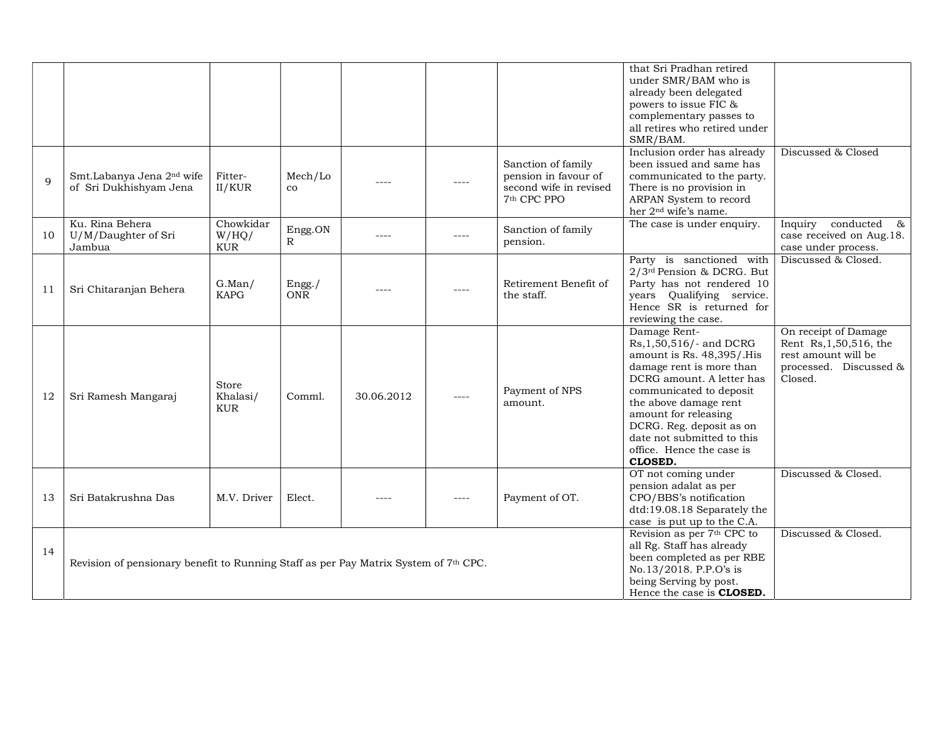|             |                                                                                      |             |             |            |         |                         | that Sri Pradhan retired<br>under SMR/BAM who is        |                                            |
|-------------|--------------------------------------------------------------------------------------|-------------|-------------|------------|---------|-------------------------|---------------------------------------------------------|--------------------------------------------|
|             |                                                                                      |             |             |            |         |                         | already been delegated                                  |                                            |
|             |                                                                                      |             |             |            |         |                         | powers to issue FIC &                                   |                                            |
|             |                                                                                      |             |             |            |         |                         | complementary passes to                                 |                                            |
|             |                                                                                      |             |             |            |         |                         | all retires who retired under                           |                                            |
|             |                                                                                      |             |             |            |         |                         | SMR/BAM.                                                |                                            |
|             |                                                                                      |             |             |            |         |                         | Inclusion order has already                             | Discussed & Closed                         |
|             |                                                                                      |             |             |            |         | Sanction of family      | been issued and same has                                |                                            |
| $\mathbf Q$ | Smt.Labanya Jena 2 <sup>nd</sup> wife                                                | Fitter-     | Mech/Lo     | ----       | $---$   | pension in favour of    | communicated to the party.                              |                                            |
|             | of Sri Dukhishyam Jena                                                               | II/KUR      | $_{\rm co}$ |            |         | second wife in revised  | There is no provision in                                |                                            |
|             |                                                                                      |             |             |            |         | 7 <sup>th</sup> CPC PPO | ARPAN System to record                                  |                                            |
|             |                                                                                      |             |             |            |         |                         | her 2 <sup>nd</sup> wife's name.                        |                                            |
|             | Ku. Rina Behera                                                                      | Chowkidar   | Engg.ON     |            |         | Sanction of family      | The case is under enquiry.                              | Inquiry<br>conducted<br>&                  |
| 10          | U/M/Daughter of Sri                                                                  | W/HQ/       | R           | ----       | $---$   | pension.                |                                                         | case received on Aug.18.                   |
|             | Jambua                                                                               | <b>KUR</b>  |             |            |         |                         | Party is sanctioned with                                | case under process.<br>Discussed & Closed. |
|             |                                                                                      |             |             |            |         |                         | 2/3rd Pension & DCRG. But                               |                                            |
|             |                                                                                      | G.Man/      | Engg./      |            |         | Retirement Benefit of   | Party has not rendered 10                               |                                            |
| 11          | Sri Chitaranjan Behera                                                               | <b>KAPG</b> | <b>ONR</b>  |            | $---$   | the staff.              | years Qualifying service.                               |                                            |
|             |                                                                                      |             |             |            |         |                         | Hence SR is returned for                                |                                            |
|             |                                                                                      |             |             |            |         |                         | reviewing the case.                                     |                                            |
|             |                                                                                      |             |             |            |         |                         | Damage Rent-                                            | On receipt of Damage                       |
|             |                                                                                      |             |             |            |         |                         | Rs, 1, 50, 516/- and DCRG                               | Rent Rs, 1, 50, 516, the                   |
|             |                                                                                      |             |             |            |         |                         | amount is Rs. 48,395/.His                               | rest amount will be                        |
|             |                                                                                      |             |             |            |         |                         | damage rent is more than<br>DCRG amount. A letter has   | processed. Discussed &<br>Closed.          |
|             |                                                                                      | Store       |             |            |         | Payment of NPS          | communicated to deposit                                 |                                            |
| 12          | Sri Ramesh Mangaraj                                                                  | Khalasi/    | Comml.      | 30.06.2012 | $---$   | amount.                 | the above damage rent                                   |                                            |
|             |                                                                                      | <b>KUR</b>  |             |            |         |                         | amount for releasing                                    |                                            |
|             |                                                                                      |             |             |            |         |                         | DCRG. Reg. deposit as on                                |                                            |
|             |                                                                                      |             |             |            |         |                         | date not submitted to this                              |                                            |
|             |                                                                                      |             |             |            |         |                         | office. Hence the case is                               |                                            |
|             |                                                                                      |             |             |            |         |                         | CLOSED.                                                 |                                            |
|             |                                                                                      |             |             |            |         |                         | OT not coming under                                     | Discussed & Closed.                        |
|             |                                                                                      |             |             |            |         |                         | pension adalat as per                                   |                                            |
| 13          | Sri Batakrushna Das                                                                  | M.V. Driver | Elect.      |            | $--- -$ | Payment of OT.          | CPO/BBS's notification                                  |                                            |
|             |                                                                                      |             |             |            |         |                         | dtd:19.08.18 Separately the                             |                                            |
|             |                                                                                      |             |             |            |         |                         | case is put up to the C.A.                              |                                            |
|             |                                                                                      |             |             |            |         |                         | Revision as per 7th CPC to<br>all Rg. Staff has already | Discussed & Closed.                        |
| 14          |                                                                                      |             |             |            |         |                         | been completed as per RBE                               |                                            |
|             | Revision of pensionary benefit to Running Staff as per Pay Matrix System of 7th CPC. |             |             |            |         |                         | No.13/2018. P.P.O's is                                  |                                            |
|             |                                                                                      |             |             |            |         |                         | being Serving by post.                                  |                                            |
|             |                                                                                      |             |             |            |         |                         | Hence the case is <b>CLOSED</b> .                       |                                            |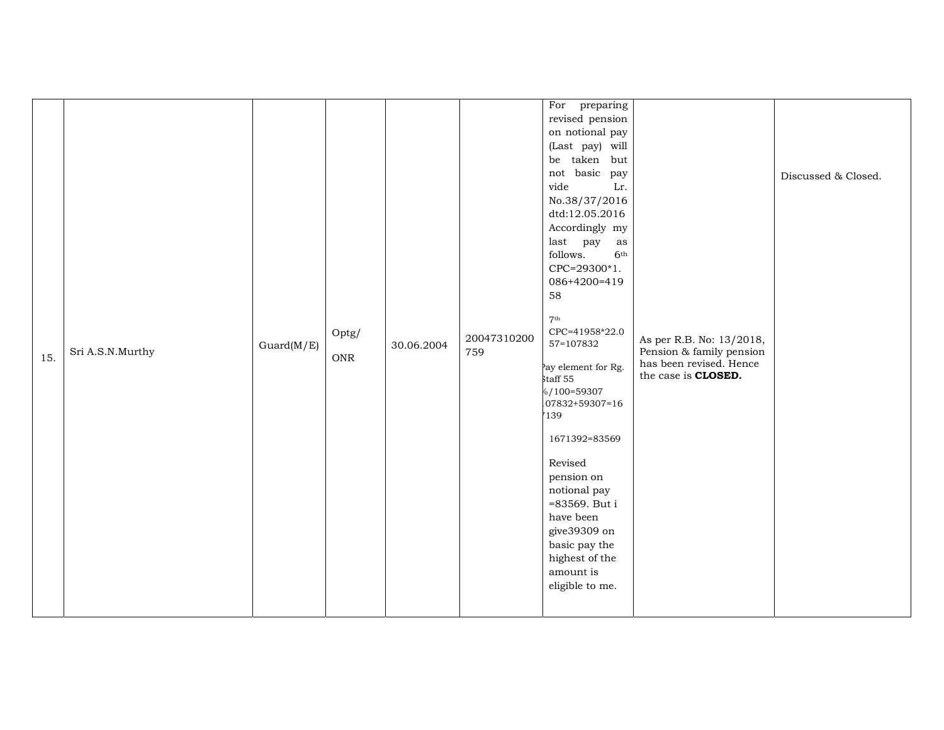| 15. | Sri A.S.N.Murthy | Guard(M/E) | Optg/<br>$_{\rm ONR}$ | 30.06.2004 | 20047310200<br>759 | revised pension<br>on notional pay<br>(Last pay) will<br>be taken but<br>not basic pay<br>vide<br>Lr.<br>No.38/37/2016<br>dtd:12.05.2016<br>Accordingly my<br>last pay<br>as<br>follows.<br>6 <sup>th</sup><br>CPC=29300*1.<br>086+4200=419<br>58<br>$7^{\rm th}$<br>CPC=41958*22.0<br>57=107832<br>ay element for Rg.<br>staff 55<br>$6/100 = 59307$<br>07832+59307=16<br>139<br>1671392=83569<br>Revised<br>pension on<br>notional pay<br>=83569. But i<br>have been<br>give39309 on<br>basic pay the<br>highest of the<br>amount is<br>eligible to me. | As per R.B. No: 13/2018,<br>Pension & family pension<br>has been revised. Hence<br>the case is <b>CLOSED.</b> | Discussed & Closed. |
|-----|------------------|------------|-----------------------|------------|--------------------|-----------------------------------------------------------------------------------------------------------------------------------------------------------------------------------------------------------------------------------------------------------------------------------------------------------------------------------------------------------------------------------------------------------------------------------------------------------------------------------------------------------------------------------------------------------|---------------------------------------------------------------------------------------------------------------|---------------------|
|-----|------------------|------------|-----------------------|------------|--------------------|-----------------------------------------------------------------------------------------------------------------------------------------------------------------------------------------------------------------------------------------------------------------------------------------------------------------------------------------------------------------------------------------------------------------------------------------------------------------------------------------------------------------------------------------------------------|---------------------------------------------------------------------------------------------------------------|---------------------|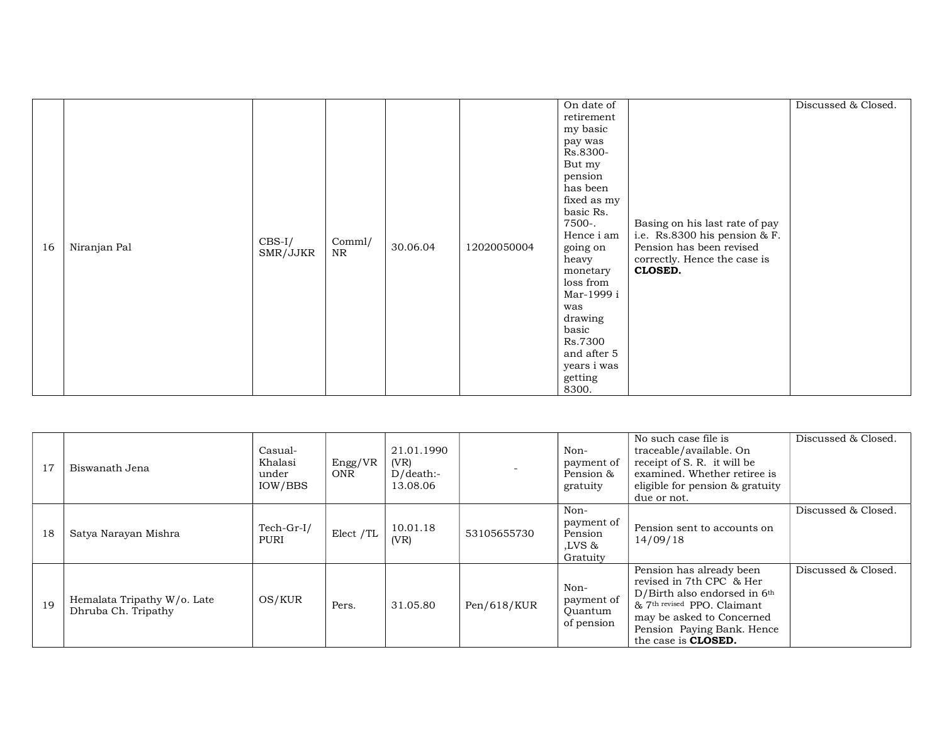| Niranjan Pal<br>16 | $CBS-I/$<br>SMR/JJKR | Comm1/<br>NR | 30.06.04 | 12020050004 | On date of<br>retirement<br>my basic<br>pay was<br>Rs.8300-<br>But my<br>pension<br>has been<br>fixed as my<br>basic Rs.<br>7500-.<br>Hence i am<br>going on<br>heavy<br>monetary<br>loss from<br>Mar-1999 i<br>was<br>drawing<br>basic<br>Rs.7300<br>and after 5<br>years i was | Basing on his last rate of pay<br>i.e. Rs.8300 his pension & F.<br>Pension has been revised<br>correctly. Hence the case is<br><b>CLOSED.</b> | Discussed & Closed. |
|--------------------|----------------------|--------------|----------|-------------|----------------------------------------------------------------------------------------------------------------------------------------------------------------------------------------------------------------------------------------------------------------------------------|-----------------------------------------------------------------------------------------------------------------------------------------------|---------------------|
|                    |                      |              |          |             | getting<br>8300.                                                                                                                                                                                                                                                                 |                                                                                                                                               |                     |

| 17 | Biswanath Jena                                     | Casual-<br>Khalasi<br>under<br>IOW/BBS | Engg/VR<br><b>ONR</b> | 21.01.1990<br>(VR)<br>$D/death$ :-<br>13.08.06 |             | Non-<br>payment of<br>Pension &<br>gratuity          | No such case file is<br>traceable/available. On<br>receipt of S. R. it will be<br>examined. Whether retiree is<br>eligible for pension & gratuity<br>due or not.                                                           | Discussed & Closed. |
|----|----------------------------------------------------|----------------------------------------|-----------------------|------------------------------------------------|-------------|------------------------------------------------------|----------------------------------------------------------------------------------------------------------------------------------------------------------------------------------------------------------------------------|---------------------|
| 18 | Satya Narayan Mishra                               | Tech-Gr-I/<br>PURI                     | Elect /TL             | 10.01.18<br>(VR)                               | 53105655730 | Non-<br>payment of<br>Pension<br>$LVS$ &<br>Gratuity | Pension sent to accounts on<br>14/09/18                                                                                                                                                                                    | Discussed & Closed. |
| 19 | Hemalata Tripathy W/o. Late<br>Dhruba Ch. Tripathy | OS/KUR                                 | Pers.                 | 31.05.80                                       | Pen/618/KUR | Non-<br>payment of<br>Quantum<br>of pension          | Pension has already been<br>revised in 7th CPC & Her<br>$D/Birth$ also endorsed in 6 <sup>th</sup><br>& 7th revised PPO. Claimant<br>may be asked to Concerned<br>Pension Paying Bank. Hence<br>the case is <b>CLOSED.</b> | Discussed & Closed. |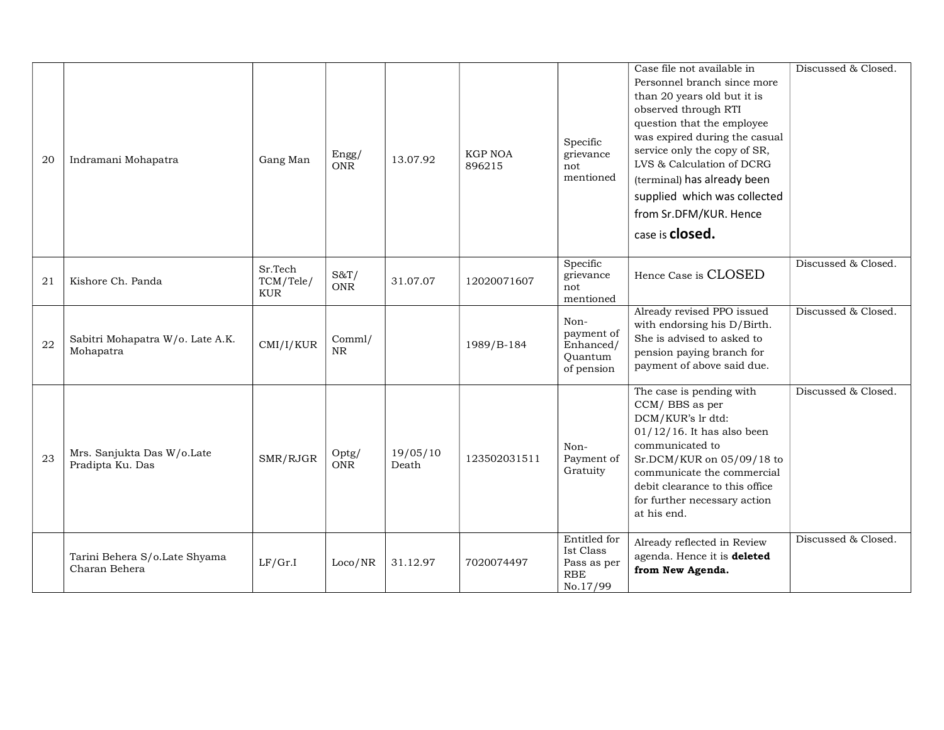|    |                                                |                                    |                     |                   |                          |                                                                                     | Case file not available in                                                                                                                                                                                                                                                                                                        | Discussed & Closed. |
|----|------------------------------------------------|------------------------------------|---------------------|-------------------|--------------------------|-------------------------------------------------------------------------------------|-----------------------------------------------------------------------------------------------------------------------------------------------------------------------------------------------------------------------------------------------------------------------------------------------------------------------------------|---------------------|
| 20 | Indramani Mohapatra                            | Gang Man                           | Engg/<br><b>ONR</b> | 13.07.92          | <b>KGP NOA</b><br>896215 | Specific<br>grievance<br>not<br>mentioned                                           | Personnel branch since more<br>than 20 years old but it is<br>observed through RTI<br>question that the employee<br>was expired during the casual<br>service only the copy of SR,<br>LVS & Calculation of DCRG<br>(terminal) has already been<br>supplied which was collected<br>from Sr.DFM/KUR. Hence<br>case is <b>closed.</b> |                     |
| 21 | Kishore Ch. Panda                              | Sr.Tech<br>TCM/Tele/<br><b>KUR</b> | S&T/<br><b>ONR</b>  | 31.07.07          | 12020071607              | Specific<br>grievance<br>not<br>mentioned                                           | Hence Case is CLOSED                                                                                                                                                                                                                                                                                                              | Discussed & Closed. |
| 22 | Sabitri Mohapatra W/o. Late A.K.<br>Mohapatra  | CMI/I/KUR                          | Comml/<br>NR.       |                   | 1989/B-184               | Non-<br>payment of<br>Enhanced/<br>Quantum<br>of pension                            | Already revised PPO issued<br>with endorsing his D/Birth.<br>She is advised to asked to<br>pension paying branch for<br>payment of above said due.                                                                                                                                                                                | Discussed & Closed. |
| 23 | Mrs. Sanjukta Das W/o.Late<br>Pradipta Ku. Das | SMR/RJGR                           | Optg/<br><b>ONR</b> | 19/05/10<br>Death | 123502031511             | Non-<br>Payment of<br>Gratuity                                                      | The case is pending with<br>CCM/BBS as per<br>DCM/KUR's lr dtd:<br>$01/12/16$ . It has also been<br>communicated to<br>Sr.DCM/KUR on 05/09/18 to<br>communicate the commercial<br>debit clearance to this office<br>for further necessary action<br>at his end.                                                                   | Discussed & Closed. |
|    | Tarini Behera S/o.Late Shyama<br>Charan Behera | LF/Gr.I                            | Loco/NR             | 31.12.97          | 7020074497               | Entitled for<br>Ist Class<br>Pass as per<br>$\ensuremath{\mathsf{RBE}}$<br>No.17/99 | Already reflected in Review<br>agenda. Hence it is deleted<br>from New Agenda.                                                                                                                                                                                                                                                    | Discussed & Closed. |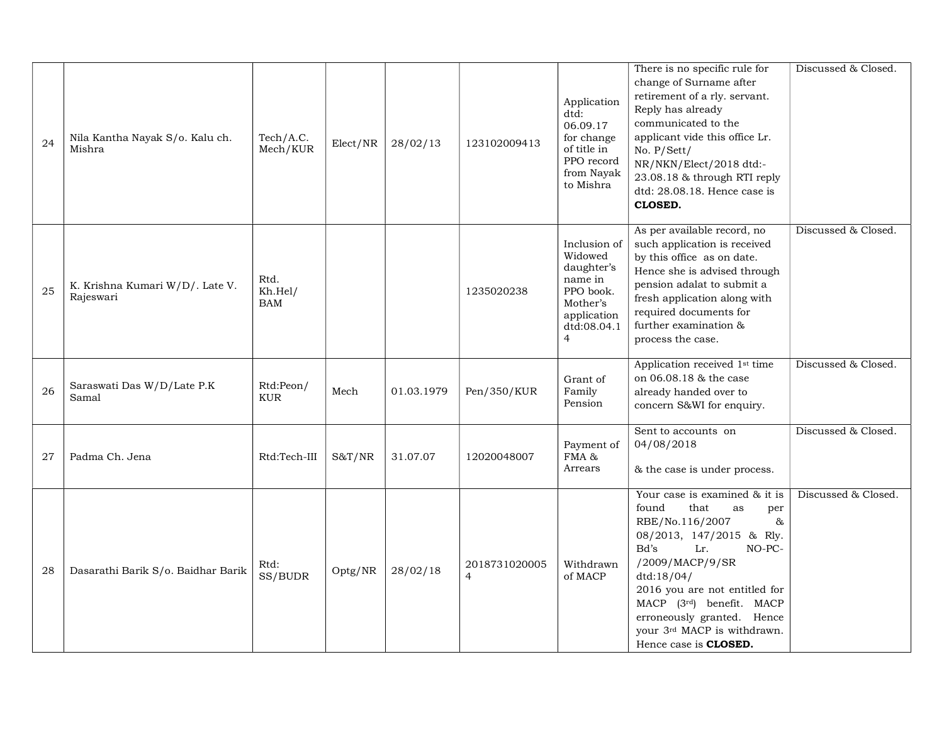|    |                                              |                               |          |            |                                 |                                                                                                                           | There is no specific rule for                                                                                                                                                                                                                                                                                                          | Discussed & Closed. |
|----|----------------------------------------------|-------------------------------|----------|------------|---------------------------------|---------------------------------------------------------------------------------------------------------------------------|----------------------------------------------------------------------------------------------------------------------------------------------------------------------------------------------------------------------------------------------------------------------------------------------------------------------------------------|---------------------|
| 24 | Nila Kantha Nayak S/o. Kalu ch.<br>Mishra    | Tech/A.C.<br>Mech/KUR         | Elect/NR | 28/02/13   | 123102009413                    | Application<br>dtd:<br>06.09.17<br>for change<br>of title in<br>PPO record<br>from Nayak<br>to Mishra                     | change of Surname after<br>retirement of a rly. servant.<br>Reply has already<br>communicated to the<br>applicant vide this office Lr.<br>No. $P/Sett/$<br>NR/NKN/Elect/2018 dtd:-<br>23.08.18 & through RTI reply<br>dtd: 28.08.18. Hence case is<br>CLOSED.                                                                          |                     |
| 25 | K. Krishna Kumari W/D/. Late V.<br>Rajeswari | Rtd.<br>Kh.Hel/<br><b>BAM</b> |          |            | 1235020238                      | Inclusion of<br>Widowed<br>daughter's<br>name in<br>PPO book.<br>Mother's<br>application<br>dtd:08.04.1<br>$\overline{4}$ | As per available record, no<br>such application is received<br>by this office as on date.<br>Hence she is advised through<br>pension adalat to submit a<br>fresh application along with<br>required documents for<br>further examination &<br>process the case.                                                                        | Discussed & Closed. |
| 26 | Saraswati Das W/D/Late P.K<br>Samal          | Rtd:Peon/<br>KUR              | Mech     | 01.03.1979 | Pen/350/KUR                     | Grant of<br>Family<br>Pension                                                                                             | Application received 1 <sup>st</sup> time<br>on 06.08.18 & the case<br>already handed over to<br>concern S&WI for enquiry.                                                                                                                                                                                                             | Discussed & Closed. |
| 27 | Padma Ch. Jena                               | Rtd:Tech-III                  | S&T/NR   | 31.07.07   | 12020048007                     | Payment of<br>FMA &<br>Arrears                                                                                            | Sent to accounts on<br>04/08/2018<br>& the case is under process.                                                                                                                                                                                                                                                                      | Discussed & Closed. |
| 28 | Dasarathi Barik S/o. Baidhar Barik           | Rtd:<br>SS/BUDR               | Optg/NR  | 28/02/18   | 2018731020005<br>$\overline{4}$ | Withdrawn<br>of MACP                                                                                                      | Your case is examined & it is<br>that<br>found<br>as<br>per<br>$\&$<br>RBE/No.116/2007<br>08/2013, 147/2015 & Rly.<br>Bd's<br>Lr.<br>NO-PC-<br>/2009/MACP/9/SR<br>dtd:18/04/<br>2016 you are not entitled for<br>MACP (3rd) benefit. MACP<br>erroneously granted. Hence<br>your 3rd MACP is withdrawn.<br>Hence case is <b>CLOSED.</b> | Discussed & Closed. |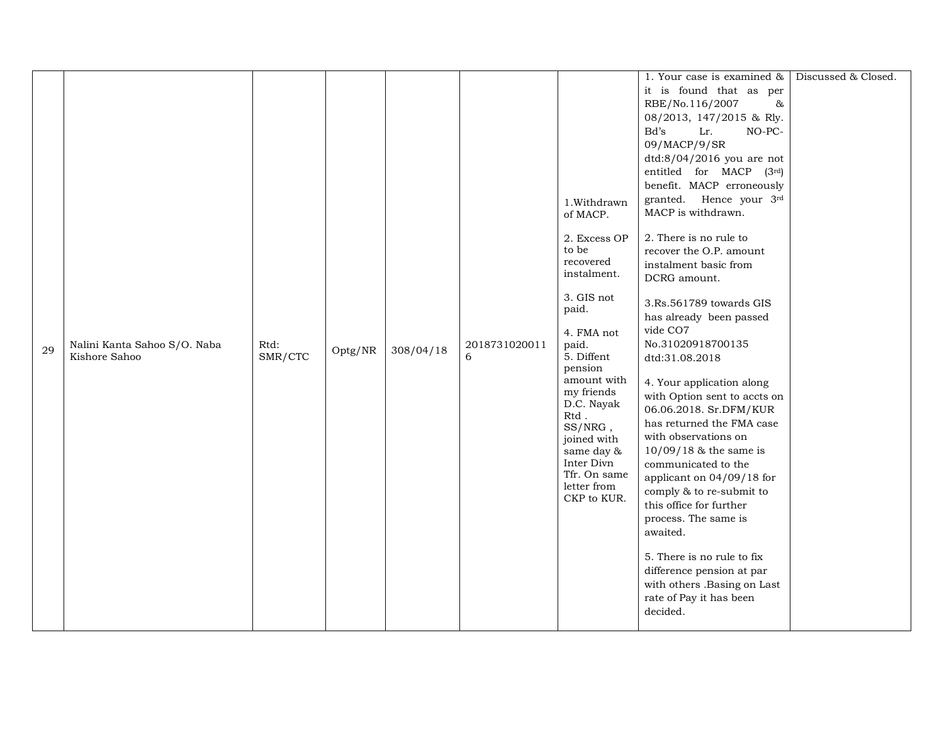|    |                              |         |         |           |               |                            | 1. Your case is examined &                                | Discussed & Closed. |
|----|------------------------------|---------|---------|-----------|---------------|----------------------------|-----------------------------------------------------------|---------------------|
|    |                              |         |         |           |               |                            | it is found that as per                                   |                     |
|    |                              |         |         |           |               |                            | RBE/No.116/2007<br>$\&$                                   |                     |
|    |                              |         |         |           |               |                            | 08/2013, 147/2015 & Rly.                                  |                     |
|    |                              |         |         |           |               |                            | Bd's<br>$NO-PC-$<br>Lr.                                   |                     |
|    |                              |         |         |           |               |                            | 09/MACP/9/SR                                              |                     |
|    |                              |         |         |           |               |                            | dtd:8/04/2016 you are not                                 |                     |
|    |                              |         |         |           |               |                            | entitled for MACP (3rd)                                   |                     |
|    |                              |         |         |           |               |                            | benefit. MACP erroneously                                 |                     |
|    |                              |         |         |           |               | 1.Withdrawn                | granted. Hence your 3rd                                   |                     |
|    |                              |         |         |           |               | of MACP.                   | MACP is withdrawn.                                        |                     |
|    |                              |         |         |           |               | 2. Excess OP               | 2. There is no rule to                                    |                     |
|    |                              |         |         |           |               | to be                      | recover the O.P. amount                                   |                     |
|    |                              |         |         |           |               | recovered<br>instalment.   | instalment basic from                                     |                     |
|    |                              |         |         |           |               |                            | DCRG amount.                                              |                     |
|    |                              |         |         |           |               | 3. GIS not                 | 3.Rs.561789 towards GIS                                   |                     |
|    |                              |         |         |           |               | paid.                      | has already been passed                                   |                     |
|    |                              |         |         |           |               | 4. FMA not                 | vide CO7                                                  |                     |
| 29 | Nalini Kanta Sahoo S/O. Naba | Rtd:    | Optg/NR | 308/04/18 | 2018731020011 | paid.                      | No.31020918700135                                         |                     |
|    | Kishore Sahoo                | SMR/CTC |         |           | 6             | 5. Diffent                 | dtd:31.08.2018                                            |                     |
|    |                              |         |         |           |               | pension<br>amount with     |                                                           |                     |
|    |                              |         |         |           |               | my friends                 | 4. Your application along<br>with Option sent to accts on |                     |
|    |                              |         |         |           |               | D.C. Nayak                 | 06.06.2018. Sr.DFM/KUR                                    |                     |
|    |                              |         |         |           |               | $\operatorname{Rtd}$ .     | has returned the FMA case                                 |                     |
|    |                              |         |         |           |               | SS/NRG,<br>joined with     | with observations on                                      |                     |
|    |                              |         |         |           |               | same day &                 | $10/09/18$ & the same is                                  |                     |
|    |                              |         |         |           |               | Inter Divn                 | communicated to the                                       |                     |
|    |                              |         |         |           |               | Tfr. On same               | applicant on 04/09/18 for                                 |                     |
|    |                              |         |         |           |               | letter from<br>CKP to KUR. | comply & to re-submit to                                  |                     |
|    |                              |         |         |           |               |                            | this office for further                                   |                     |
|    |                              |         |         |           |               |                            | process. The same is                                      |                     |
|    |                              |         |         |           |               |                            | awaited.                                                  |                     |
|    |                              |         |         |           |               |                            | 5. There is no rule to fix                                |                     |
|    |                              |         |         |           |               |                            | difference pension at par                                 |                     |
|    |                              |         |         |           |               |                            | with others .Basing on Last                               |                     |
|    |                              |         |         |           |               |                            | rate of Pay it has been                                   |                     |
|    |                              |         |         |           |               |                            | decided.                                                  |                     |
|    |                              |         |         |           |               |                            |                                                           |                     |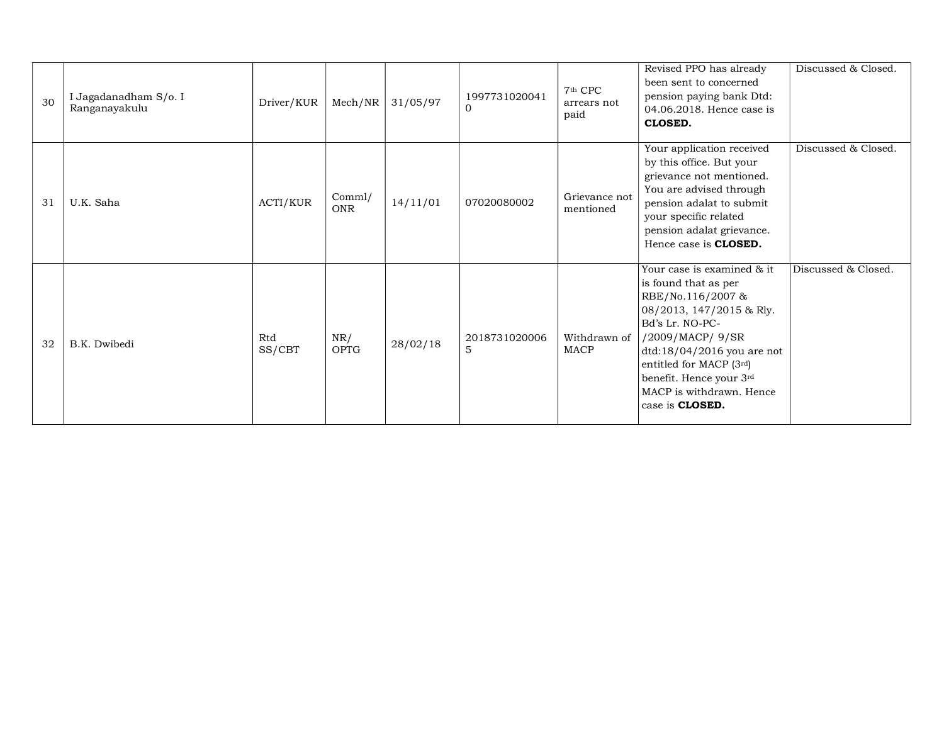| 30 | I Jagadanadham S/o. I<br>Ranganayakulu | Driver/KUR    | Mech/NR              | 31/05/97 | 1997731020041<br>$\Omega$ | 7 <sup>th</sup> CPC<br>arrears not<br>paid | Revised PPO has already<br>been sent to concerned<br>pension paying bank Dtd:<br>04.06.2018. Hence case is<br>CLOSED.                                                                                                                                                               | Discussed & Closed. |
|----|----------------------------------------|---------------|----------------------|----------|---------------------------|--------------------------------------------|-------------------------------------------------------------------------------------------------------------------------------------------------------------------------------------------------------------------------------------------------------------------------------------|---------------------|
| 31 | U.K. Saha                              | ACTI/KUR      | Comml/<br><b>ONR</b> | 14/11/01 | 07020080002               | Grievance not<br>mentioned                 | Your application received<br>by this office. But your<br>grievance not mentioned.<br>You are advised through<br>pension adalat to submit<br>your specific related<br>pension adalat grievance.<br>Hence case is <b>CLOSED</b> .                                                     | Discussed & Closed. |
| 32 | B.K. Dwibedi                           | Rtd<br>SS/CBT | NR/<br>OPTG          | 28/02/18 | 2018731020006<br>5        | Withdrawn of<br><b>MACP</b>                | Your case is examined & it<br>is found that as per<br>RBE/No.116/2007&<br>08/2013, 147/2015 & Rly.<br>Bd's Lr. NO-PC-<br>/2009/MACP/ 9/SR<br>dtd:18/04/2016 you are not<br>entitled for MACP (3rd)<br>benefit. Hence your 3rd<br>MACP is withdrawn. Hence<br>case is <b>CLOSED.</b> | Discussed & Closed. |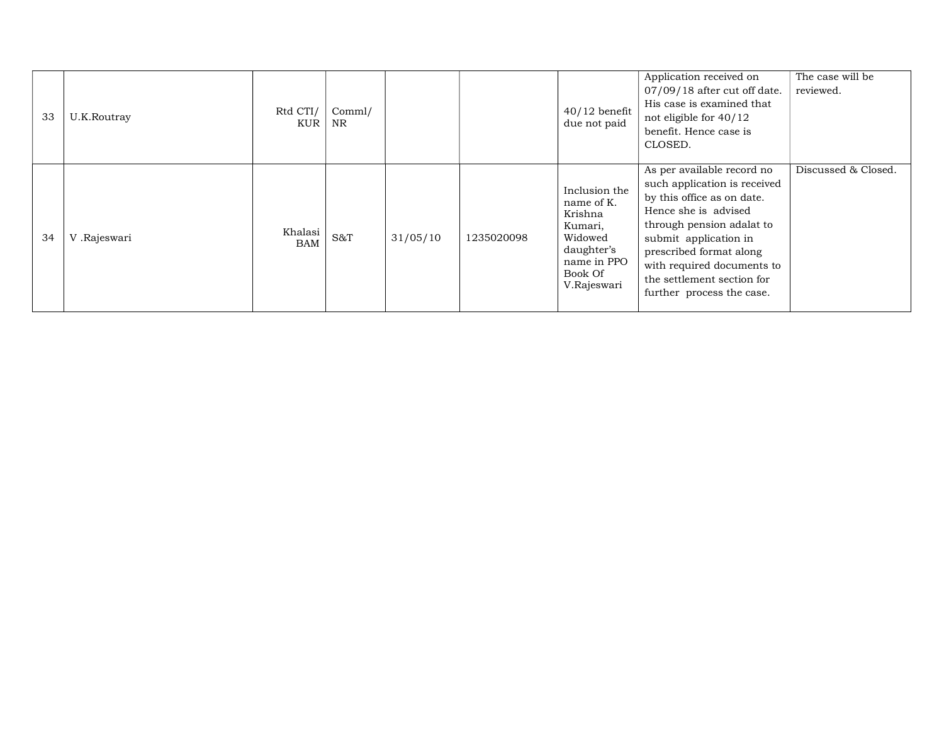| 33 | U.K.Routray | Rtd CTI/<br>KUR       | Comml/<br>NR. |          |            | $40/12$ benefit<br>due not paid                                                                                     | Application received on<br>$07/09/18$ after cut off date.<br>His case is examined that<br>not eligible for 40/12<br>benefit. Hence case is<br>CLOSED.                                                                                                                                      | The case will be<br>reviewed. |
|----|-------------|-----------------------|---------------|----------|------------|---------------------------------------------------------------------------------------------------------------------|--------------------------------------------------------------------------------------------------------------------------------------------------------------------------------------------------------------------------------------------------------------------------------------------|-------------------------------|
| 34 | V.Rajeswari | Khalasi<br><b>BAM</b> | S&T           | 31/05/10 | 1235020098 | Inclusion the<br>name of K.<br>Krishna<br>Kumari,<br>Widowed<br>daughter's<br>name in PPO<br>Book Of<br>V.Rajeswari | As per available record no<br>such application is received<br>by this office as on date.<br>Hence she is advised<br>through pension adalat to<br>submit application in<br>prescribed format along<br>with required documents to<br>the settlement section for<br>further process the case. | Discussed & Closed.           |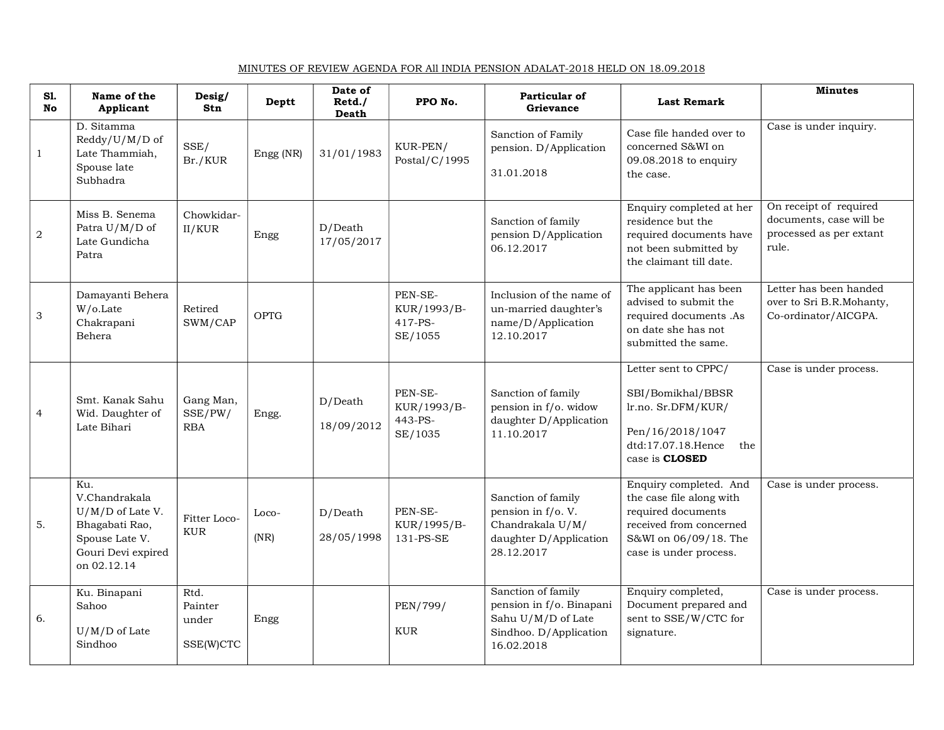| S1.<br><b>No</b> | Name of the<br>Applicant                                                                                            | Desig/<br>Stn                         | Deptt         | Date of<br>Retd./<br>Death | PPO No.                                        | Particular of<br>Grievance                                                                                   | <b>Last Remark</b>                                                                                                                                     | <b>Minutes</b>                                                                        |
|------------------|---------------------------------------------------------------------------------------------------------------------|---------------------------------------|---------------|----------------------------|------------------------------------------------|--------------------------------------------------------------------------------------------------------------|--------------------------------------------------------------------------------------------------------------------------------------------------------|---------------------------------------------------------------------------------------|
| $\mathbf{1}$     | D. Sitamma<br>Reddy/U/M/D of<br>Late Thammiah,<br>Spouse late<br>Subhadra                                           | SSE/<br>Br./KUR                       | Engg (NR)     | 31/01/1983                 | KUR-PEN/<br>Postal/C/1995                      | Sanction of Family<br>pension. D/Application<br>31.01.2018                                                   | Case file handed over to<br>concerned S&WI on<br>09.08.2018 to enquiry<br>the case.                                                                    | Case is under inquiry.                                                                |
| $\sqrt{2}$       | Miss B. Senema<br>Patra U/M/D of<br>Late Gundicha<br>Patra                                                          | Chowkidar-<br>II/KUR                  | Engg          | D/Death<br>17/05/2017      |                                                | Sanction of family<br>pension D/Application<br>06.12.2017                                                    | Enquiry completed at her<br>residence but the<br>required documents have<br>not been submitted by<br>the claimant till date.                           | On receipt of required<br>documents, case will be<br>processed as per extant<br>rule. |
| 3                | Damayanti Behera<br>$W/O$ .Late<br>Chakrapani<br>Behera                                                             | Retired<br>SWM/CAP                    | <b>OPTG</b>   |                            | PEN-SE-<br>KUR/1993/B-<br>$417-PS-$<br>SE/1055 | Inclusion of the name of<br>un-married daughter's<br>name/D/Application<br>12.10.2017                        | The applicant has been<br>advised to submit the<br>required documents .As<br>on date she has not<br>submitted the same.                                | Letter has been handed<br>over to Sri B.R.Mohanty,<br>Co-ordinator/AICGPA.            |
| $\overline{4}$   | Smt. Kanak Sahu<br>Wid. Daughter of<br>Late Bihari                                                                  | Gang Man,<br>SSE/PW/<br><b>RBA</b>    | Engg.         | $D/D$ eath<br>18/09/2012   | PEN-SE-<br>KUR/1993/B-<br>443-PS-<br>SE/1035   | Sanction of family<br>pension in f/o. widow<br>daughter D/Application<br>11.10.2017                          | Letter sent to CPPC/<br>SBI/Bomikhal/BBSR<br>lr.no. Sr.DFM/KUR/<br>Pen/16/2018/1047<br>dtd:17.07.18.Hence<br>the<br>case is <b>CLOSED</b>              | Case is under process.                                                                |
| 5.               | Ku.<br>V.Chandrakala<br>$U/M/D$ of Late V.<br>Bhagabati Rao,<br>Spouse Late V.<br>Gouri Devi expired<br>on 02.12.14 | Fitter Loco-<br><b>KUR</b>            | Loco-<br>(NR) | D/Death<br>28/05/1998      | PEN-SE-<br>KUR/1995/B-<br>131-PS-SE            | Sanction of family<br>pension in f/o. V.<br>Chandrakala U/M/<br>daughter D/Application<br>28.12.2017         | Enquiry completed. And<br>the case file along with<br>required documents<br>received from concerned<br>S&WI on 06/09/18. The<br>case is under process. | Case is under process.                                                                |
| 6.               | Ku. Binapani<br>Sahoo<br>$U/M/D$ of Late<br>Sindhoo                                                                 | Rtd.<br>Painter<br>under<br>SSE(W)CTC | Engg          |                            | PEN/799/<br><b>KUR</b>                         | Sanction of family<br>pension in f/o. Binapani<br>Sahu U/M/D of Late<br>Sindhoo. D/Application<br>16.02.2018 | Enquiry completed,<br>Document prepared and<br>sent to SSE/W/CTC for<br>signature.                                                                     | Case is under process.                                                                |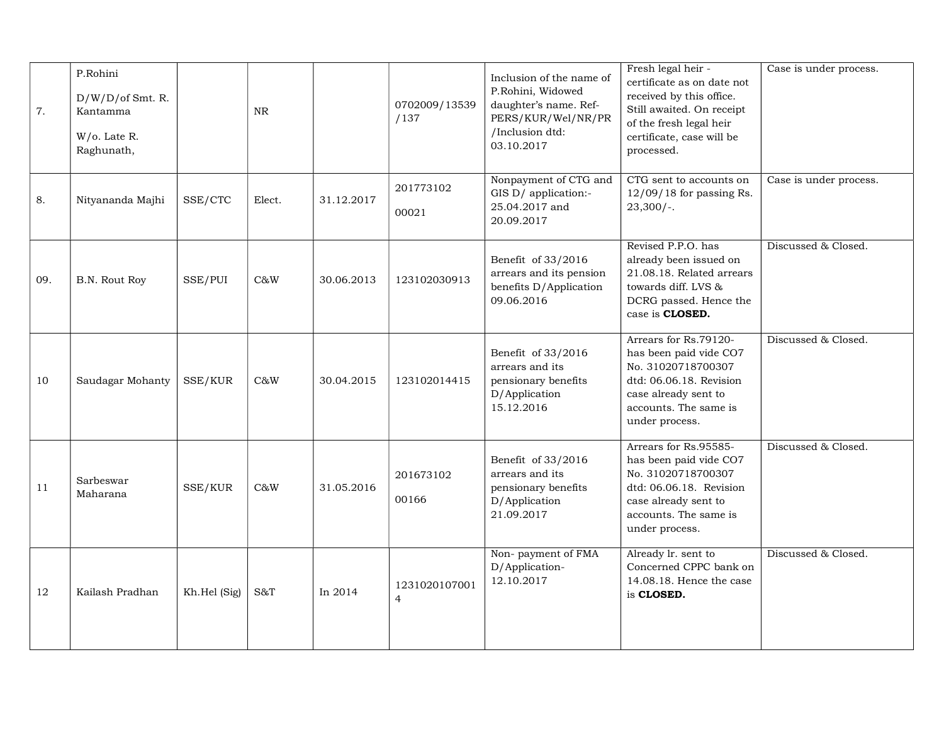| $7. \,$ | P.Rohini<br>$D/W/D$ of Smt. R.<br>Kantamma<br>$W$ /o. Late R.<br>Raghunath, |              | NR.    |            | 0702009/13539<br>/137           | Inclusion of the name of<br>P.Rohini, Widowed<br>daughter's name. Ref-<br>PERS/KUR/Wel/NR/PR<br>/Inclusion dtd:<br>03.10.2017 | Fresh legal heir -<br>certificate as on date not<br>received by this office.<br>Still awaited. On receipt<br>of the fresh legal heir<br>certificate, case will be<br>processed. | Case is under process. |
|---------|-----------------------------------------------------------------------------|--------------|--------|------------|---------------------------------|-------------------------------------------------------------------------------------------------------------------------------|---------------------------------------------------------------------------------------------------------------------------------------------------------------------------------|------------------------|
| 8.      | Nityananda Majhi                                                            | SSE/CTC      | Elect. | 31.12.2017 | 201773102<br>00021              | Nonpayment of CTG and<br>GIS D/ application:-<br>25.04.2017 and<br>20.09.2017                                                 | CTG sent to accounts on<br>$12/09/18$ for passing Rs.<br>$23,300/-.$                                                                                                            | Case is under process. |
| 09.     | B.N. Rout Roy                                                               | SSE/PUI      | C&W    | 30.06.2013 | 123102030913                    | Benefit of 33/2016<br>arrears and its pension<br>benefits D/Application<br>09.06.2016                                         | Revised P.P.O. has<br>already been issued on<br>21.08.18. Related arrears<br>towards diff. LVS &<br>DCRG passed. Hence the<br>case is <b>CLOSED.</b>                            | Discussed & Closed.    |
| 10      | Saudagar Mohanty                                                            | SSE/KUR      | C&W    | 30.04.2015 | 123102014415                    | Benefit of 33/2016<br>arrears and its<br>pensionary benefits<br>D/Application<br>15.12.2016                                   | Arrears for Rs.79120-<br>has been paid vide CO7<br>No. 31020718700307<br>dtd: 06.06.18. Revision<br>case already sent to<br>accounts. The same is<br>under process.             | Discussed & Closed.    |
| 11      | Sarbeswar<br>Maharana                                                       | SSE/KUR      | C&W    | 31.05.2016 | 201673102<br>00166              | Benefit of 33/2016<br>arrears and its<br>pensionary benefits<br>D/Application<br>21.09.2017                                   | Arrears for Rs.95585-<br>has been paid vide CO7<br>No. 31020718700307<br>dtd: 06.06.18. Revision<br>case already sent to<br>accounts. The same is<br>under process.             | Discussed & Closed.    |
| 12      | Kailash Pradhan                                                             | Kh.Hel (Sig) | S&T    | In 2014    | 1231020107001<br>$\overline{4}$ | Non-payment of FMA<br>D/Application-<br>12.10.2017                                                                            | Already lr. sent to<br>Concerned CPPC bank on<br>14.08.18. Hence the case<br>is CLOSED.                                                                                         | Discussed & Closed.    |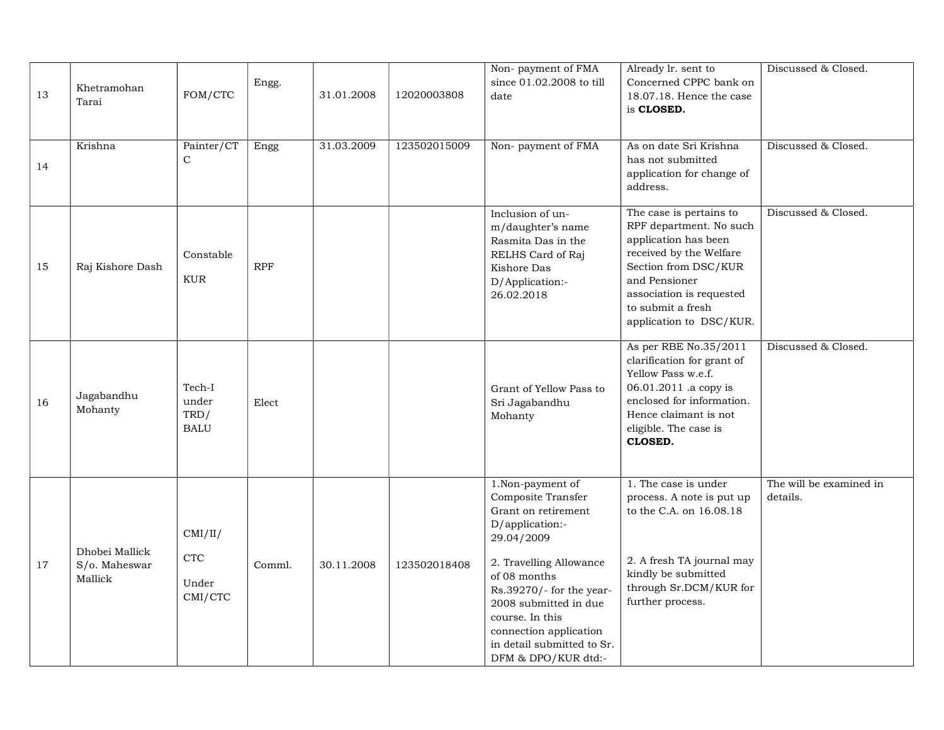| 13 | Khetramohan<br>Tarai                       | FOM/CTC                                                    | Engg.  | 31.01.2008 | 12020003808  | Non-payment of FMA<br>since 01.02.2008 to till<br>date                                                                                                                                                                                                                                           | Already lr. sent to<br>Concerned CPPC bank on<br>18.07.18. Hence the case<br>is CLOSED.                                                                                                                                    | Discussed & Closed.                 |
|----|--------------------------------------------|------------------------------------------------------------|--------|------------|--------------|--------------------------------------------------------------------------------------------------------------------------------------------------------------------------------------------------------------------------------------------------------------------------------------------------|----------------------------------------------------------------------------------------------------------------------------------------------------------------------------------------------------------------------------|-------------------------------------|
| 14 | Krishna                                    | Painter/CT<br>$\mathcal{C}$                                | Engg   | 31.03.2009 | 123502015009 | Non-payment of FMA                                                                                                                                                                                                                                                                               | As on date Sri Krishna<br>has not submitted<br>application for change of<br>address.                                                                                                                                       | Discussed & Closed.                 |
| 15 | Raj Kishore Dash                           | Constable<br><b>KUR</b>                                    | RPF    |            |              | Inclusion of un-<br>m/daughter's name<br>Rasmita Das in the<br>RELHS Card of Raj<br>Kishore Das<br>D/Application:-<br>26.02.2018                                                                                                                                                                 | The case is pertains to<br>RPF department. No such<br>application has been<br>received by the Welfare<br>Section from DSC/KUR<br>and Pensioner<br>association is requested<br>to submit a fresh<br>application to DSC/KUR. | Discussed & Closed.                 |
| 16 | Jagabandhu<br>Mohanty                      | Tech-I<br>under<br>TRD/<br><b>BALU</b>                     | Elect  |            |              | Grant of Yellow Pass to<br>Sri Jagabandhu<br>Mohanty                                                                                                                                                                                                                                             | As per RBE No.35/2011<br>clarification for grant of<br>Yellow Pass w.e.f.<br>06.01.2011 .a copy is<br>enclosed for information.<br>Hence claimant is not<br>eligible. The case is<br>CLOSED.                               | Discussed & Closed.                 |
| 17 | Dhobei Mallick<br>S/o. Maheswar<br>Mallick | CMI/II/<br>$\ensuremath{\textup{CTC}}$<br>Under<br>CMI/CTC | Comml. | 30.11.2008 | 123502018408 | 1.Non-payment of<br>Composite Transfer<br>Grant on retirement<br>D/application:-<br>29.04/2009<br>2. Travelling Allowance<br>of 08 months<br>Rs.39270/- for the year-<br>2008 submitted in due<br>course. In this<br>connection application<br>in detail submitted to Sr.<br>DFM & DPO/KUR dtd:- | 1. The case is under<br>process. A note is put up<br>to the C.A. on 16.08.18<br>2. A fresh TA journal may<br>kindly be submitted<br>through Sr.DCM/KUR for<br>further process.                                             | The will be examined in<br>details. |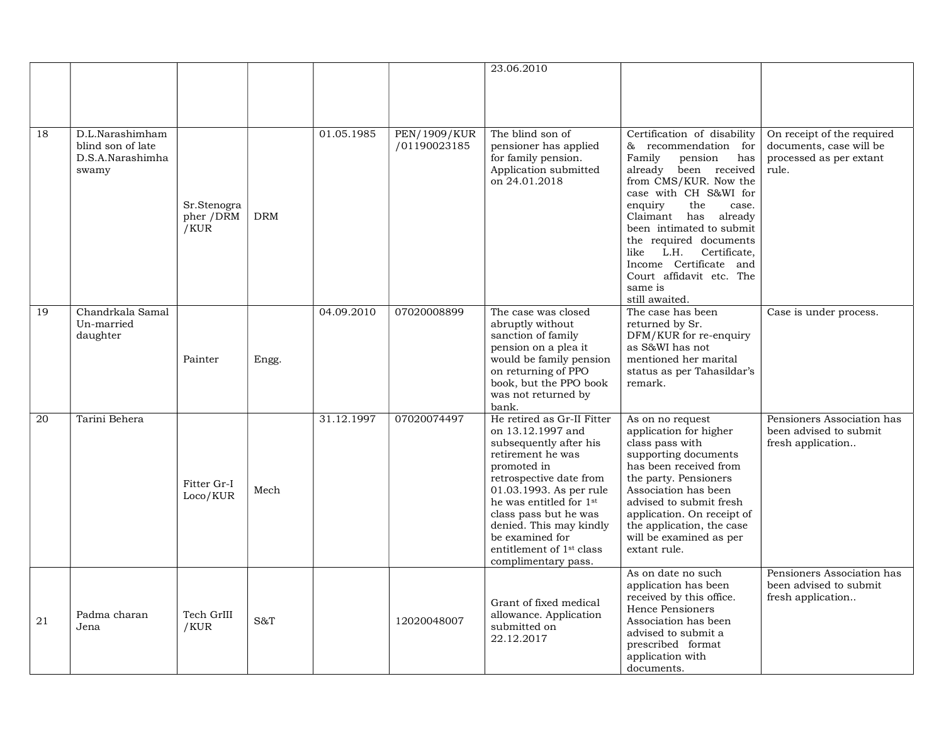|    |                                                                   |                                  |            |            |                                     | 23.06.2010                                                                                                                                                                                                                                                                                                                           |                                                                                                                                                                                                                                                                                                                                                                         |                                                                                           |
|----|-------------------------------------------------------------------|----------------------------------|------------|------------|-------------------------------------|--------------------------------------------------------------------------------------------------------------------------------------------------------------------------------------------------------------------------------------------------------------------------------------------------------------------------------------|-------------------------------------------------------------------------------------------------------------------------------------------------------------------------------------------------------------------------------------------------------------------------------------------------------------------------------------------------------------------------|-------------------------------------------------------------------------------------------|
|    |                                                                   |                                  |            |            |                                     |                                                                                                                                                                                                                                                                                                                                      |                                                                                                                                                                                                                                                                                                                                                                         |                                                                                           |
|    |                                                                   |                                  |            |            |                                     |                                                                                                                                                                                                                                                                                                                                      |                                                                                                                                                                                                                                                                                                                                                                         |                                                                                           |
|    |                                                                   |                                  |            |            |                                     |                                                                                                                                                                                                                                                                                                                                      |                                                                                                                                                                                                                                                                                                                                                                         |                                                                                           |
| 18 | D.L.Narashimham<br>blind son of late<br>D.S.A.Narashimha<br>swamy | Sr.Stenogra<br>pher /DRM<br>/KUR | <b>DRM</b> | 01.05.1985 | <b>PEN/1909/KUR</b><br>/01190023185 | The blind son of<br>pensioner has applied<br>for family pension.<br>Application submitted<br>on 24.01.2018                                                                                                                                                                                                                           | Certification of disability<br>& recommendation for<br>Family<br>pension<br>has<br>already been received<br>from CMS/KUR. Now the<br>case with CH S&WI for<br>enquiry<br>the<br>case.<br>Claimant has<br>already<br>been intimated to submit<br>the required documents<br>like<br>Certificate,<br>L.H.<br>Income Certificate and<br>Court affidavit etc. The<br>same is | On receipt of the required<br>documents, case will be<br>processed as per extant<br>rule. |
| 19 | Chandrkala Samal<br>Un-married<br>daughter                        | Painter                          | Engg.      | 04.09.2010 | 07020008899                         | The case was closed<br>abruptly without<br>sanction of family<br>pension on a plea it<br>would be family pension<br>on returning of PPO<br>book, but the PPO book<br>was not returned by<br>bank.                                                                                                                                    | still awaited.<br>The case has been<br>returned by Sr.<br>DFM/KUR for re-enquiry<br>as S&WI has not<br>mentioned her marital<br>status as per Tahasildar's<br>remark.                                                                                                                                                                                                   | Case is under process.                                                                    |
| 20 | Tarini Behera                                                     | Fitter Gr-I<br>Loco/KUR          | Mech       | 31.12.1997 | 07020074497                         | He retired as Gr-II Fitter<br>on 13.12.1997 and<br>subsequently after his<br>retirement he was<br>promoted in<br>retrospective date from<br>01.03.1993. As per rule<br>he was entitled for 1st<br>class pass but he was<br>denied. This may kindly<br>be examined for<br>entitlement of 1 <sup>st</sup> class<br>complimentary pass. | As on no request<br>application for higher<br>class pass with<br>supporting documents<br>has been received from<br>the party. Pensioners<br>Association has been<br>advised to submit fresh<br>application. On receipt of<br>the application, the case<br>will be examined as per<br>extant rule.                                                                       | Pensioners Association has<br>been advised to submit<br>fresh application                 |
| 21 | Padma charan<br>Jena                                              | Tech GrIII<br>/KUR               | S&T        |            | 12020048007                         | Grant of fixed medical<br>allowance. Application<br>submitted on<br>22.12.2017                                                                                                                                                                                                                                                       | As on date no such<br>application has been<br>received by this office.<br>Hence Pensioners<br>Association has been<br>advised to submit a<br>prescribed format<br>application with<br>documents.                                                                                                                                                                        | Pensioners Association has<br>been advised to submit<br>fresh application                 |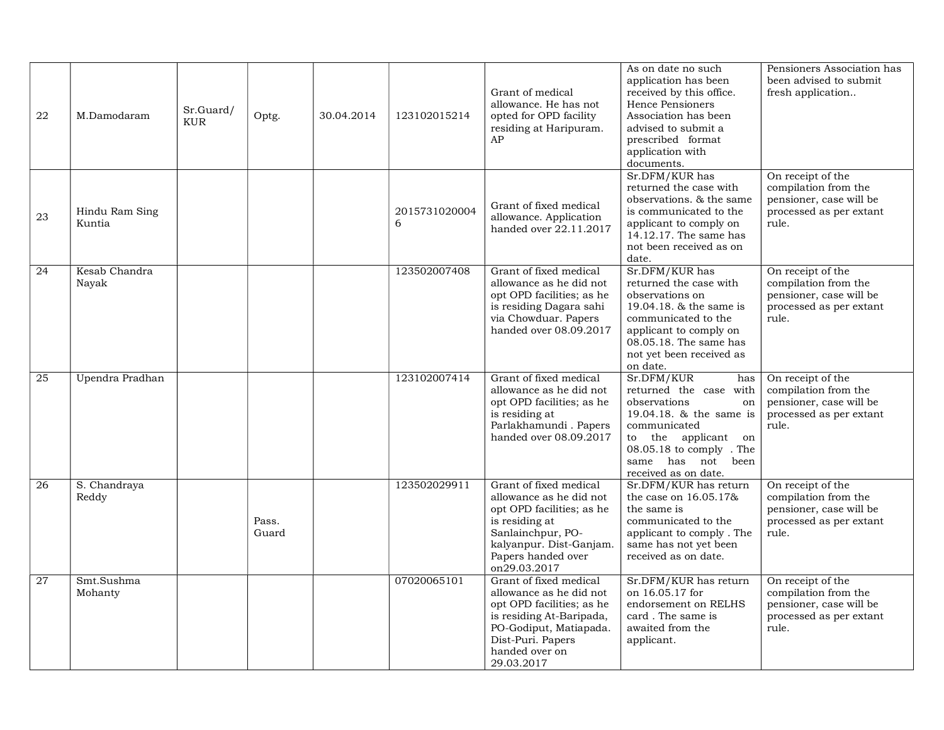|    |                 |            |       |            |               |                                                      | As on date no such                                | Pensioners Association has                      |
|----|-----------------|------------|-------|------------|---------------|------------------------------------------------------|---------------------------------------------------|-------------------------------------------------|
|    |                 |            |       |            |               |                                                      | application has been                              | been advised to submit                          |
|    |                 |            |       |            |               | Grant of medical                                     | received by this office.                          | fresh application                               |
|    |                 | Sr.Guard/  |       | 30.04.2014 | 123102015214  | allowance. He has not<br>opted for OPD facility      | Hence Pensioners                                  |                                                 |
| 22 | M.Damodaram     | <b>KUR</b> | Optg. |            |               | residing at Haripuram.                               | Association has been<br>advised to submit a       |                                                 |
|    |                 |            |       |            |               | AP                                                   | prescribed format                                 |                                                 |
|    |                 |            |       |            |               |                                                      | application with                                  |                                                 |
|    |                 |            |       |            |               |                                                      | documents.                                        |                                                 |
|    |                 |            |       |            |               |                                                      | Sr.DFM/KUR has                                    | On receipt of the                               |
|    |                 |            |       |            |               |                                                      | returned the case with                            | compilation from the                            |
|    |                 |            |       |            |               | Grant of fixed medical                               | observations. & the same                          | pensioner, case will be                         |
| 23 | Hindu Ram Sing  |            |       |            | 2015731020004 | allowance. Application                               | is communicated to the                            | processed as per extant                         |
|    | Kuntia          |            |       |            | 6             | handed over 22.11.2017                               | applicant to comply on                            | rule.                                           |
|    |                 |            |       |            |               |                                                      | 14.12.17. The same has<br>not been received as on |                                                 |
|    |                 |            |       |            |               |                                                      | date.                                             |                                                 |
| 24 | Kesab Chandra   |            |       |            | 123502007408  | Grant of fixed medical                               | Sr.DFM/KUR has                                    | On receipt of the                               |
|    | Nayak           |            |       |            |               | allowance as he did not                              | returned the case with                            | compilation from the                            |
|    |                 |            |       |            |               | opt OPD facilities; as he                            | observations on                                   | pensioner, case will be                         |
|    |                 |            |       |            |               | is residing Dagara sahi                              | 19.04.18. & the same is                           | processed as per extant                         |
|    |                 |            |       |            |               | via Chowduar. Papers                                 | communicated to the                               | rule.                                           |
|    |                 |            |       |            |               | handed over 08.09.2017                               | applicant to comply on                            |                                                 |
|    |                 |            |       |            |               |                                                      | 08.05.18. The same has                            |                                                 |
|    |                 |            |       |            |               |                                                      | not yet been received as<br>on date.              |                                                 |
| 25 | Upendra Pradhan |            |       |            | 123102007414  | Grant of fixed medical                               | Sr.DFM/KUR<br>has                                 | On receipt of the                               |
|    |                 |            |       |            |               | allowance as he did not                              | returned the case with                            | compilation from the                            |
|    |                 |            |       |            |               | opt OPD facilities; as he                            | observations<br>on                                | pensioner, case will be                         |
|    |                 |            |       |            |               | is residing at                                       | 19.04.18. & the same is                           | processed as per extant                         |
|    |                 |            |       |            |               | Parlakhamundi . Papers                               | communicated                                      | rule.                                           |
|    |                 |            |       |            |               | handed over 08.09.2017                               | to the applicant on                               |                                                 |
|    |                 |            |       |            |               |                                                      | 08.05.18 to comply . The                          |                                                 |
|    |                 |            |       |            |               |                                                      | same has not<br>been                              |                                                 |
| 26 | S. Chandraya    |            |       |            | 123502029911  | Grant of fixed medical                               | received as on date.<br>Sr.DFM/KUR has return     | On receipt of the                               |
|    | Reddy           |            |       |            |               | allowance as he did not                              | the case on 16.05.17&                             | compilation from the                            |
|    |                 |            |       |            |               | opt OPD facilities; as he                            | the same is                                       | pensioner, case will be                         |
|    |                 |            | Pass. |            |               | is residing at                                       | communicated to the                               | processed as per extant                         |
|    |                 |            | Guard |            |               | Sanlainchpur, PO-                                    | applicant to comply. The                          | rule.                                           |
|    |                 |            |       |            |               | kalyanpur. Dist-Ganjam.                              | same has not yet been                             |                                                 |
|    |                 |            |       |            |               | Papers handed over                                   | received as on date.                              |                                                 |
|    |                 |            |       |            |               | on29.03.2017                                         |                                                   |                                                 |
| 27 | Smt.Sushma      |            |       |            | 07020065101   | Grant of fixed medical                               | Sr.DFM/KUR has return                             | On receipt of the                               |
|    | Mohanty         |            |       |            |               | allowance as he did not<br>opt OPD facilities; as he | on 16.05.17 for<br>endorsement on RELHS           | compilation from the<br>pensioner, case will be |
|    |                 |            |       |            |               | is residing At-Baripada,                             | card. The same is                                 | processed as per extant                         |
|    |                 |            |       |            |               | PO-Godiput, Matiapada.                               | awaited from the                                  | rule.                                           |
|    |                 |            |       |            |               | Dist-Puri. Papers                                    | applicant.                                        |                                                 |
|    |                 |            |       |            |               | handed over on                                       |                                                   |                                                 |
|    |                 |            |       |            |               | 29.03.2017                                           |                                                   |                                                 |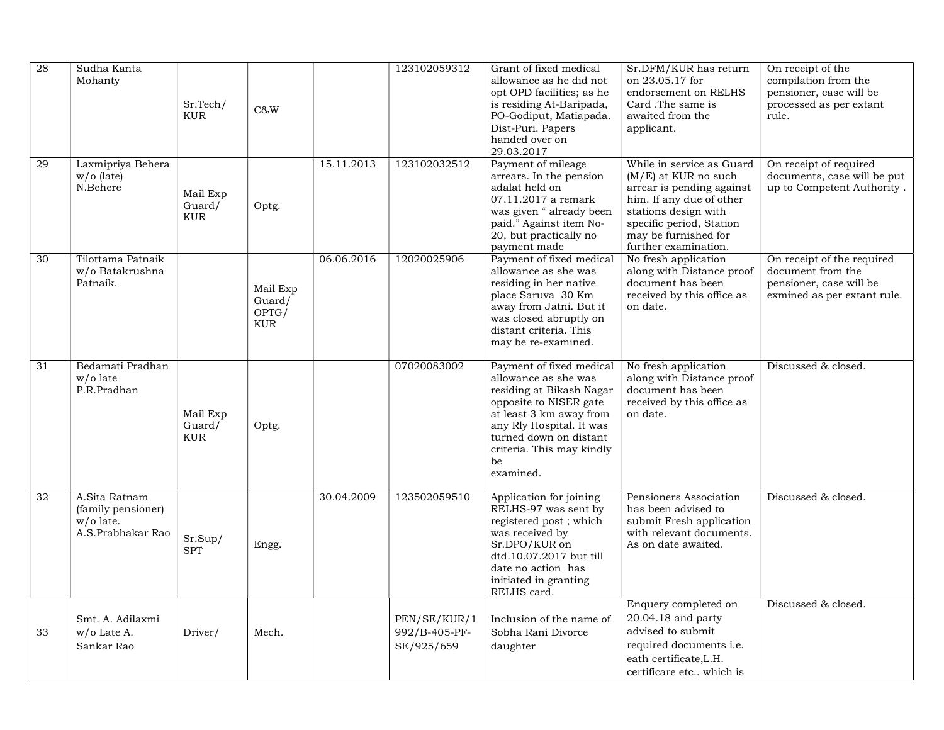| 28 | Sudha Kanta<br>Mohanty                                                | Sr.Tech/<br><b>KUR</b>           | C&W                                       |            | 123102059312                                | Grant of fixed medical<br>allowance as he did not<br>opt OPD facilities; as he<br>is residing At-Baripada,<br>PO-Godiput, Matiapada.<br>Dist-Puri. Papers<br>handed over on<br>29.03.2017                                               | Sr.DFM/KUR has return<br>on 23.05.17 for<br>endorsement on RELHS<br>Card .The same is<br>awaited from the<br>applicant.                                                                                          | On receipt of the<br>compilation from the<br>pensioner, case will be<br>processed as per extant<br>rule.  |
|----|-----------------------------------------------------------------------|----------------------------------|-------------------------------------------|------------|---------------------------------------------|-----------------------------------------------------------------------------------------------------------------------------------------------------------------------------------------------------------------------------------------|------------------------------------------------------------------------------------------------------------------------------------------------------------------------------------------------------------------|-----------------------------------------------------------------------------------------------------------|
| 29 | Laxmipriya Behera<br>$w/o$ (late)<br>N.Behere                         | Mail Exp<br>Guard/<br><b>KUR</b> | Optg.                                     | 15.11.2013 | 123102032512                                | Payment of mileage<br>arrears. In the pension<br>adalat held on<br>07.11.2017 a remark<br>was given " already been<br>paid." Against item No-<br>20, but practically no<br>payment made                                                 | While in service as Guard<br>$(M/E)$ at KUR no such<br>arrear is pending against<br>him. If any due of other<br>stations design with<br>specific period, Station<br>may be furnished for<br>further examination. | On receipt of required<br>documents, case will be put<br>up to Competent Authority.                       |
| 30 | Tilottama Patnaik<br>w/o Batakrushna<br>Patnaik.                      |                                  | Mail Exp<br>Guard/<br>OPTG/<br><b>KUR</b> | 06.06.2016 | 12020025906                                 | Payment of fixed medical<br>allowance as she was<br>residing in her native<br>place Saruva 30 Km<br>away from Jatni. But it<br>was closed abruptly on<br>distant criteria. This<br>may be re-examined.                                  | No fresh application<br>along with Distance proof<br>document has been<br>received by this office as<br>on date.                                                                                                 | On receipt of the required<br>document from the<br>pensioner, case will be<br>exmined as per extant rule. |
| 31 | Bedamati Pradhan<br>w/o late<br>P.R.Pradhan                           | Mail Exp<br>Guard/<br><b>KUR</b> | Optg.                                     |            | 07020083002                                 | Payment of fixed medical<br>allowance as she was<br>residing at Bikash Nagar<br>opposite to NISER gate<br>at least 3 km away from<br>any Rly Hospital. It was<br>turned down on distant<br>criteria. This may kindly<br>be<br>examined. | No fresh application<br>along with Distance proof<br>document has been<br>received by this office as<br>on date.                                                                                                 | Discussed & closed.                                                                                       |
| 32 | A.Sita Ratnam<br>(family pensioner)<br>w/o late.<br>A.S.Prabhakar Rao | Sr.Sup/<br><b>SPT</b>            | Engg.                                     | 30.04.2009 | 123502059510                                | Application for joining<br>RELHS-97 was sent by<br>registered post; which<br>was received by<br>Sr.DPO/KUR on<br>dtd.10.07.2017 but till<br>date no action has<br>initiated in granting<br>RELHS card.                                  | Pensioners Association<br>has been advised to<br>submit Fresh application<br>with relevant documents.<br>As on date awaited.                                                                                     | Discussed & closed.                                                                                       |
| 33 | Smt. A. Adilaxmi<br>w/o Late A.<br>Sankar Rao                         | Driver/                          | Mech.                                     |            | PEN/SE/KUR/1<br>992/B-405-PF-<br>SE/925/659 | Inclusion of the name of<br>Sobha Rani Divorce<br>daughter                                                                                                                                                                              | Enquery completed on<br>20.04.18 and party<br>advised to submit<br>required documents <i>i.e.</i><br>eath certificate, L.H.<br>certificare etc., which is                                                        | Discussed & closed.                                                                                       |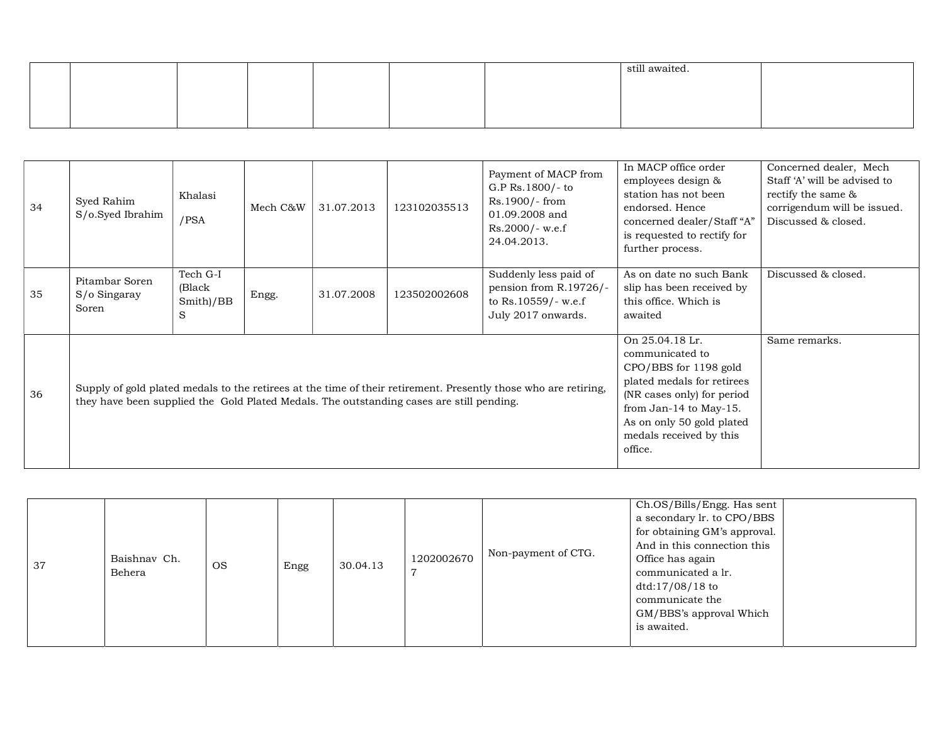|  |  |  | still awaited |  |
|--|--|--|---------------|--|
|  |  |  |               |  |
|  |  |  |               |  |
|  |  |  |               |  |

| 34 | Syed Rahim<br>S/o.Syed Ibrahim                                                                                                                                                                              | Khalasi<br>/PSA                      | Mech C&W | 31.07.2013                                                                                                                                                                                                           | 123102035513  | Payment of MACP from<br>G.P Rs.1800/- to<br>Rs.1900/-from<br>01.09.2008 and<br>$Rs.2000/-$ w.e.f<br>24.04.2013. | In MACP office order<br>employees design &<br>station has not been<br>endorsed. Hence<br>concerned dealer/Staff "A"<br>is requested to rectify for<br>further process. | Concerned dealer, Mech<br>Staff 'A' will be advised to<br>rectify the same &<br>corrigendum will be issued.<br>Discussed & closed. |
|----|-------------------------------------------------------------------------------------------------------------------------------------------------------------------------------------------------------------|--------------------------------------|----------|----------------------------------------------------------------------------------------------------------------------------------------------------------------------------------------------------------------------|---------------|-----------------------------------------------------------------------------------------------------------------|------------------------------------------------------------------------------------------------------------------------------------------------------------------------|------------------------------------------------------------------------------------------------------------------------------------|
| 35 | Pitambar Soren<br>S/o Singaray<br>Soren                                                                                                                                                                     | Tech G-I<br>(Black<br>Smith)/BB<br>S | Engg.    | 31.07.2008                                                                                                                                                                                                           | 123502002608  | Suddenly less paid of<br>pension from R.19726/-<br>to Rs.10559/- w.e.f<br>July 2017 onwards.                    | As on date no such Bank<br>slip has been received by<br>this office. Which is<br>awaited                                                                               | Discussed & closed.                                                                                                                |
| 36 | Supply of gold plated medals to the retirees at the time of their retirement. Presently those who are retiring,<br>they have been supplied the Gold Plated Medals. The outstanding cases are still pending. |                                      |          | On 25.04.18 Lr.<br>communicated to<br>CPO/BBS for 1198 gold<br>plated medals for retirees<br>(NR cases only) for period<br>from Jan-14 to May-15.<br>As on only 50 gold plated<br>medals received by this<br>office. | Same remarks. |                                                                                                                 |                                                                                                                                                                        |                                                                                                                                    |

| 37 | Baishnav Ch.<br>Behera | OS. | Engg | 30.04.13 | 1202002670 | Non-payment of CTG. | Ch.OS/Bills/Engg. Has sent<br>a secondary lr. to CPO/BBS<br>for obtaining GM's approval.<br>And in this connection this<br>Office has again<br>communicated a lr.<br>dtd:17/08/18 to<br>communicate the<br>GM/BBS's approval Which<br>is awaited. |  |
|----|------------------------|-----|------|----------|------------|---------------------|---------------------------------------------------------------------------------------------------------------------------------------------------------------------------------------------------------------------------------------------------|--|
|----|------------------------|-----|------|----------|------------|---------------------|---------------------------------------------------------------------------------------------------------------------------------------------------------------------------------------------------------------------------------------------------|--|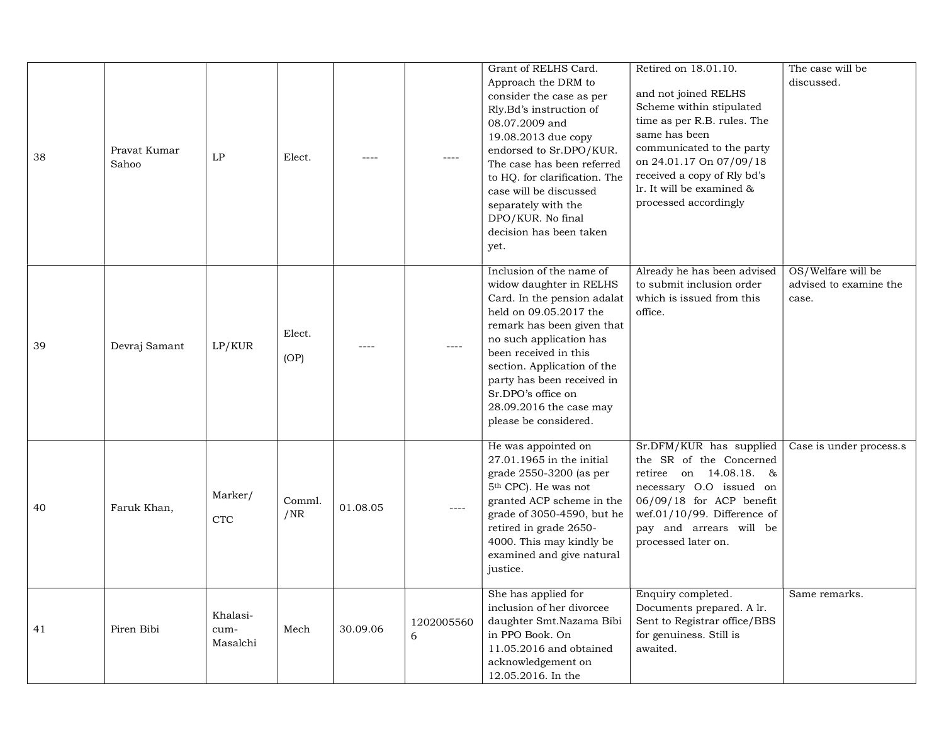| 38 | Pravat Kumar<br>Sahoo | LP                           | Elect.         |           | $---$           | Grant of RELHS Card.<br>Approach the DRM to<br>consider the case as per<br>Rly. Bd's instruction of<br>08.07.2009 and<br>19.08.2013 due copy<br>endorsed to Sr.DPO/KUR.<br>The case has been referred<br>to HQ. for clarification. The<br>case will be discussed<br>separately with the<br>DPO/KUR. No final<br>decision has been taken<br>yet. | Retired on 18.01.10.<br>and not joined RELHS<br>Scheme within stipulated<br>time as per R.B. rules. The<br>same has been<br>communicated to the party<br>on 24.01.17 On 07/09/18<br>received a copy of Rly bd's<br>lr. It will be examined &<br>processed accordingly | The case will be<br>discussed.                        |
|----|-----------------------|------------------------------|----------------|-----------|-----------------|-------------------------------------------------------------------------------------------------------------------------------------------------------------------------------------------------------------------------------------------------------------------------------------------------------------------------------------------------|-----------------------------------------------------------------------------------------------------------------------------------------------------------------------------------------------------------------------------------------------------------------------|-------------------------------------------------------|
| 39 | Devraj Samant         | LP/KUR                       | Elect.<br>(OP) | $- - - -$ | $--- -$         | Inclusion of the name of<br>widow daughter in RELHS<br>Card. In the pension adalat<br>held on 09.05.2017 the<br>remark has been given that<br>no such application has<br>been received in this<br>section. Application of the<br>party has been received in<br>Sr.DPO's office on<br>28.09.2016 the case may<br>please be considered.           | Already he has been advised<br>to submit inclusion order<br>which is issued from this<br>office.                                                                                                                                                                      | OS/Welfare will be<br>advised to examine the<br>case. |
| 40 | Faruk Khan,           | Marker/<br>CTC               | Comml.<br>/NR  | 01.08.05  | $---$           | He was appointed on<br>27.01.1965 in the initial<br>grade 2550-3200 (as per<br>5 <sup>th</sup> CPC). He was not<br>granted ACP scheme in the<br>grade of 3050-4590, but he<br>retired in grade 2650-<br>4000. This may kindly be<br>examined and give natural<br>justice.                                                                       | Sr.DFM/KUR has supplied<br>the SR of the Concerned<br>retiree on 14.08.18. &<br>necessary O.O issued on<br>$06/09/18$ for ACP benefit<br>wef.01/10/99. Difference of<br>pay and arrears will be<br>processed later on.                                                | Case is under process.s                               |
| 41 | Piren Bibi            | Khalasi-<br>cum-<br>Masalchi | Mech           | 30.09.06  | 1202005560<br>6 | She has applied for<br>inclusion of her divorcee<br>daughter Smt.Nazama Bibi<br>in PPO Book. On<br>11.05.2016 and obtained<br>acknowledgement on<br>12.05.2016. In the                                                                                                                                                                          | Enquiry completed.<br>Documents prepared. A lr.<br>Sent to Registrar office/BBS<br>for genuiness. Still is<br>awaited.                                                                                                                                                | Same remarks.                                         |